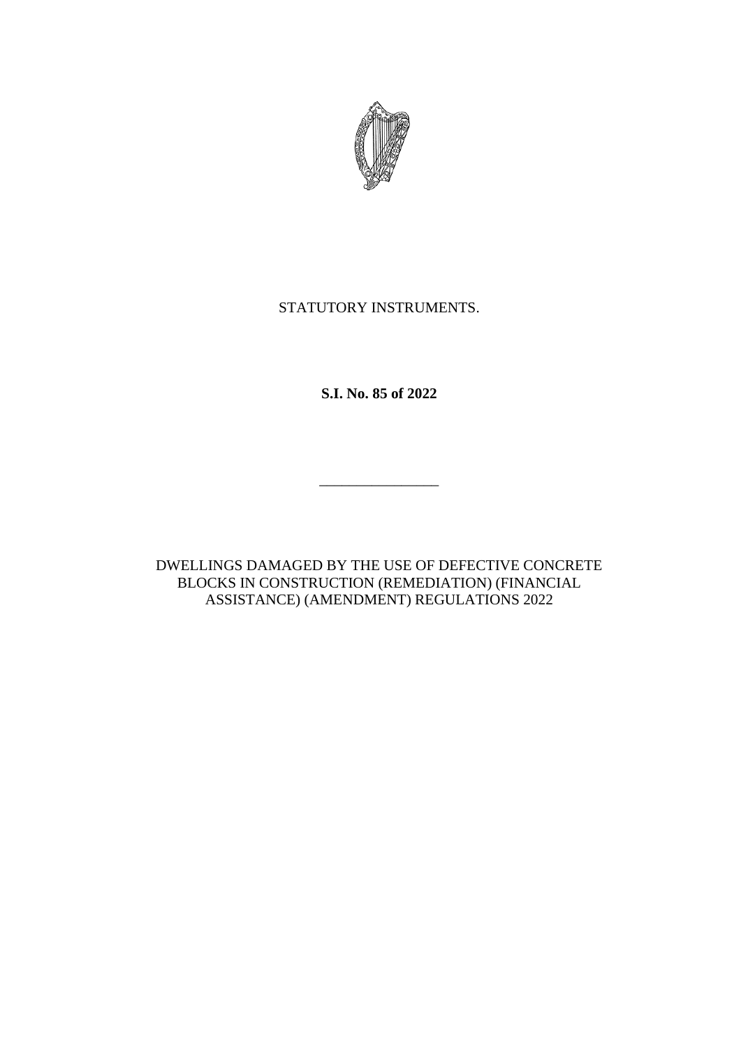

# STATUTORY INSTRUMENTS.

**S.I. No. 85 of 2022**

 $\mathcal{L}_\text{max}$ 

DWELLINGS DAMAGED BY THE USE OF DEFECTIVE CONCRETE BLOCKS IN CONSTRUCTION (REMEDIATION) (FINANCIAL ASSISTANCE) (AMENDMENT) REGULATIONS 2022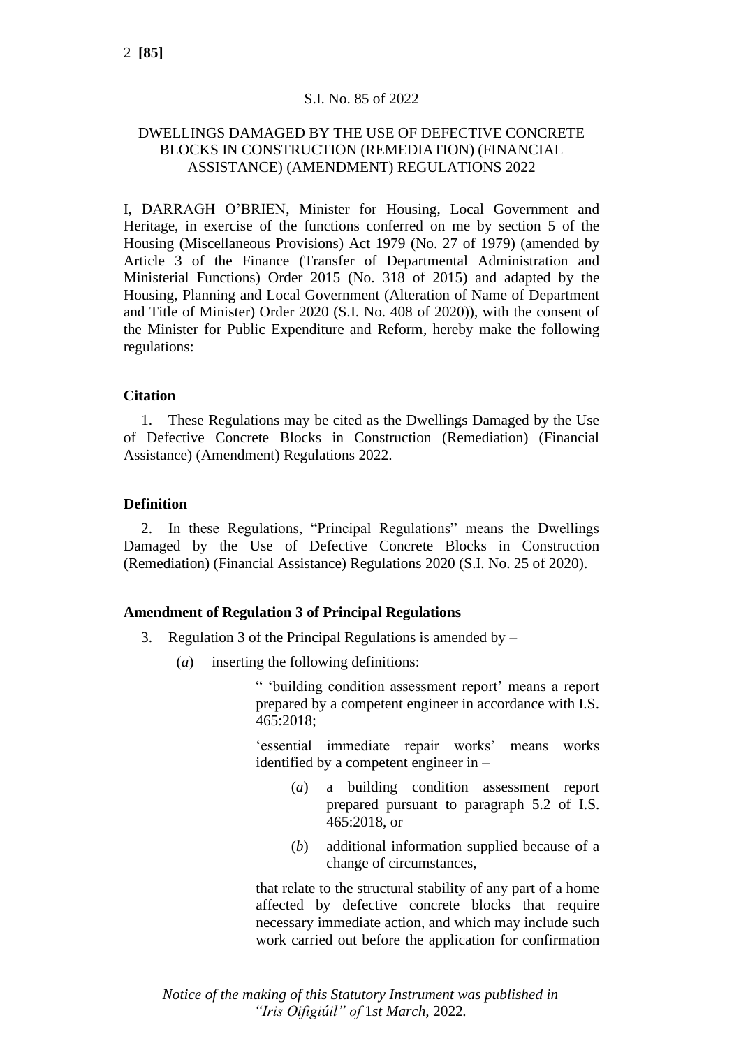### S.I. No. 85 of 2022

## DWELLINGS DAMAGED BY THE USE OF DEFECTIVE CONCRETE BLOCKS IN CONSTRUCTION (REMEDIATION) (FINANCIAL ASSISTANCE) (AMENDMENT) REGULATIONS 2022

I, DARRAGH O'BRIEN, Minister for Housing, Local Government and Heritage, in exercise of the functions conferred on me by section 5 of the Housing (Miscellaneous Provisions) Act 1979 (No. 27 of 1979) (amended by Article 3 of the Finance (Transfer of Departmental Administration and Ministerial Functions) Order 2015 (No. 318 of 2015) and adapted by the Housing, Planning and Local Government (Alteration of Name of Department and Title of Minister) Order 2020 (S.I. No. 408 of 2020)), with the consent of the Minister for Public Expenditure and Reform, hereby make the following regulations:

### **Citation**

1. These Regulations may be cited as the Dwellings Damaged by the Use of Defective Concrete Blocks in Construction (Remediation) (Financial Assistance) (Amendment) Regulations 2022.

### **Definition**

2. In these Regulations, "Principal Regulations" means the Dwellings Damaged by the Use of Defective Concrete Blocks in Construction (Remediation) (Financial Assistance) Regulations 2020 (S.I. No. 25 of 2020).

### **Amendment of Regulation 3 of Principal Regulations**

- 3. Regulation 3 of the Principal Regulations is amended by  $-$ 
	- (*a*) inserting the following definitions:

" 'building condition assessment report' means a report prepared by a competent engineer in accordance with I.S. 465:2018;

'essential immediate repair works' means works identified by a competent engineer in –

- (*a*) a building condition assessment report prepared pursuant to paragraph 5.2 of I.S. 465:2018, or
- (*b*) additional information supplied because of a change of circumstances,

that relate to the structural stability of any part of a home affected by defective concrete blocks that require necessary immediate action, and which may include such work carried out before the application for confirmation

*Notice of the making of this Statutory Instrument was published in "Iris Oifigiúil" of* 1*st March,* 2022*.*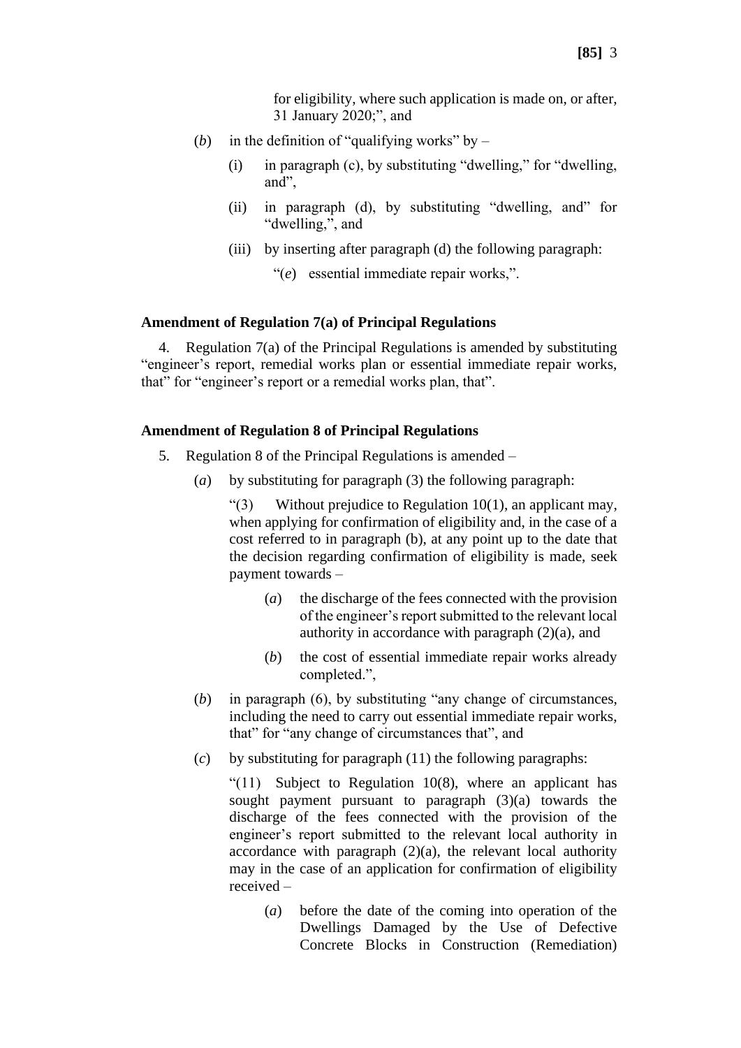for eligibility, where such application is made on, or after, 31 January 2020;", and

- (*b*) in the definition of "qualifying works" by  $-$ 
	- (i) in paragraph (c), by substituting "dwelling," for "dwelling, and",
	- (ii) in paragraph (d), by substituting "dwelling, and" for "dwelling,", and
	- (iii) by inserting after paragraph (d) the following paragraph:
		- "(*e*) essential immediate repair works,".

#### **Amendment of Regulation 7(a) of Principal Regulations**

4. Regulation 7(a) of the Principal Regulations is amended by substituting "engineer's report, remedial works plan or essential immediate repair works, that" for "engineer's report or a remedial works plan, that".

#### **Amendment of Regulation 8 of Principal Regulations**

- 5. Regulation 8 of the Principal Regulations is amended
	- (*a*) by substituting for paragraph (3) the following paragraph:

"(3) Without prejudice to Regulation  $10(1)$ , an applicant may, when applying for confirmation of eligibility and, in the case of a cost referred to in paragraph (b), at any point up to the date that the decision regarding confirmation of eligibility is made, seek payment towards –

- (*a*) the discharge of the fees connected with the provision of the engineer's report submitted to the relevant local authority in accordance with paragraph (2)(a), and
- (*b*) the cost of essential immediate repair works already completed.",
- (*b*) in paragraph (6), by substituting "any change of circumstances, including the need to carry out essential immediate repair works, that" for "any change of circumstances that", and
- (*c*) by substituting for paragraph (11) the following paragraphs:

"(11) Subject to Regulation 10(8), where an applicant has sought payment pursuant to paragraph (3)(a) towards the discharge of the fees connected with the provision of the engineer's report submitted to the relevant local authority in accordance with paragraph  $(2)(a)$ , the relevant local authority may in the case of an application for confirmation of eligibility received –

(*a*) before the date of the coming into operation of the Dwellings Damaged by the Use of Defective Concrete Blocks in Construction (Remediation)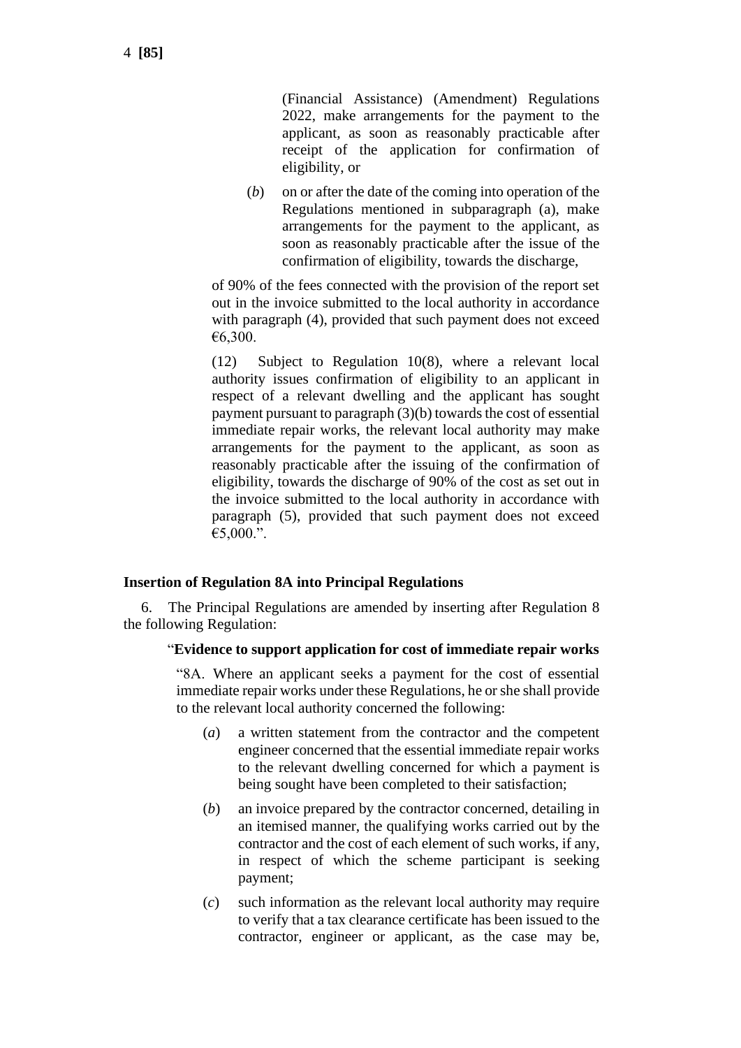(Financial Assistance) (Amendment) Regulations 2022, make arrangements for the payment to the applicant, as soon as reasonably practicable after receipt of the application for confirmation of eligibility, or

(*b*) on or after the date of the coming into operation of the Regulations mentioned in subparagraph (a), make arrangements for the payment to the applicant, as soon as reasonably practicable after the issue of the confirmation of eligibility, towards the discharge,

of 90% of the fees connected with the provision of the report set out in the invoice submitted to the local authority in accordance with paragraph (4), provided that such payment does not exceed €6,300.

(12) Subject to Regulation 10(8), where a relevant local authority issues confirmation of eligibility to an applicant in respect of a relevant dwelling and the applicant has sought payment pursuant to paragraph (3)(b) towards the cost of essential immediate repair works, the relevant local authority may make arrangements for the payment to the applicant, as soon as reasonably practicable after the issuing of the confirmation of eligibility, towards the discharge of 90% of the cost as set out in the invoice submitted to the local authority in accordance with paragraph (5), provided that such payment does not exceed €5,000.".

### **Insertion of Regulation 8A into Principal Regulations**

6. The Principal Regulations are amended by inserting after Regulation 8 the following Regulation:

### "**Evidence to support application for cost of immediate repair works**

"8A. Where an applicant seeks a payment for the cost of essential immediate repair works under these Regulations, he or she shall provide to the relevant local authority concerned the following:

- (*a*) a written statement from the contractor and the competent engineer concerned that the essential immediate repair works to the relevant dwelling concerned for which a payment is being sought have been completed to their satisfaction;
- (*b*) an invoice prepared by the contractor concerned, detailing in an itemised manner, the qualifying works carried out by the contractor and the cost of each element of such works, if any, in respect of which the scheme participant is seeking payment;
- (*c*) such information as the relevant local authority may require to verify that a tax clearance certificate has been issued to the contractor, engineer or applicant, as the case may be,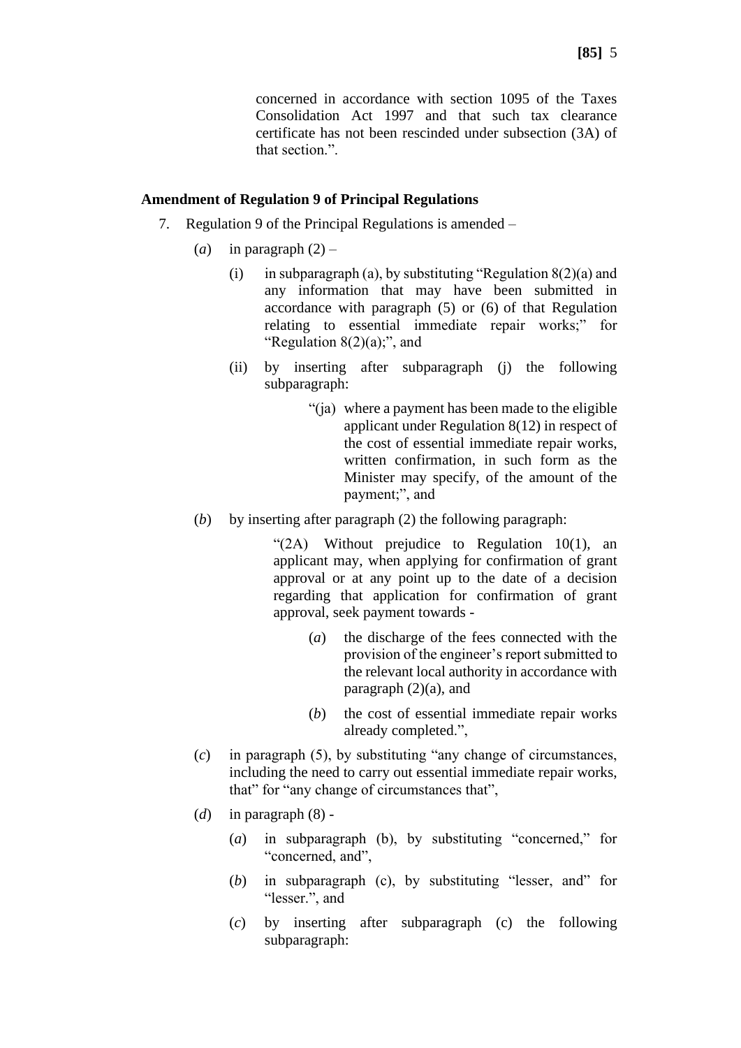concerned in accordance with section 1095 of the Taxes Consolidation Act 1997 and that such tax clearance certificate has not been rescinded under subsection (3A) of that section.".

#### **Amendment of Regulation 9 of Principal Regulations**

- 7. Regulation 9 of the Principal Regulations is amended
	- (*a*) in paragraph  $(2)$ 
		- (i) in subparagraph (a), by substituting "Regulation  $8(2)(a)$  and any information that may have been submitted in accordance with paragraph (5) or (6) of that Regulation relating to essential immediate repair works;" for "Regulation  $8(2)(a)$ ;", and
		- (ii) by inserting after subparagraph (j) the following subparagraph:
			- "(ja) where a payment has been made to the eligible applicant under Regulation 8(12) in respect of the cost of essential immediate repair works, written confirmation, in such form as the Minister may specify, of the amount of the payment;", and
	- (*b*) by inserting after paragraph (2) the following paragraph:

"(2A) Without prejudice to Regulation 10(1), an applicant may, when applying for confirmation of grant approval or at any point up to the date of a decision regarding that application for confirmation of grant approval, seek payment towards -

- (*a*) the discharge of the fees connected with the provision of the engineer's report submitted to the relevant local authority in accordance with paragraph (2)(a), and
- (*b*) the cost of essential immediate repair works already completed.",
- (*c*) in paragraph (5), by substituting "any change of circumstances, including the need to carry out essential immediate repair works, that" for "any change of circumstances that",
- (*d*) in paragraph (8)
	- (*a*) in subparagraph (b), by substituting "concerned," for "concerned, and".
	- (*b*) in subparagraph (c), by substituting "lesser, and" for "lesser.", and
	- (*c*) by inserting after subparagraph (c) the following subparagraph: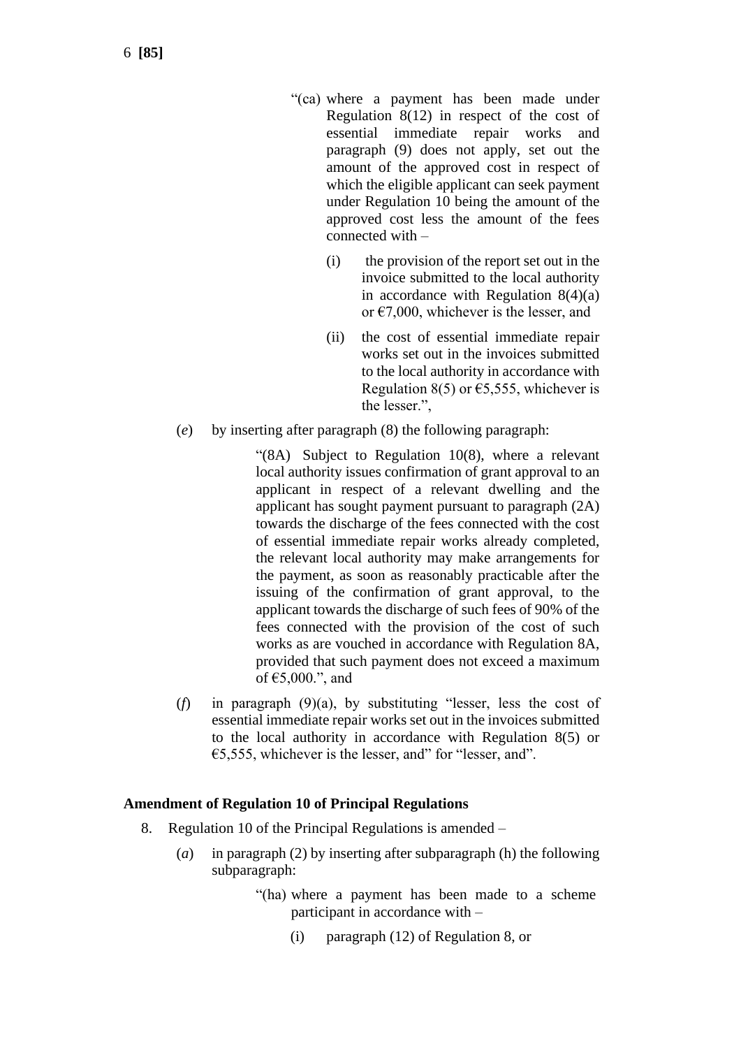- "(ca) where a payment has been made under Regulation 8(12) in respect of the cost of essential immediate repair works and paragraph (9) does not apply, set out the amount of the approved cost in respect of which the eligible applicant can seek payment under Regulation 10 being the amount of the approved cost less the amount of the fees connected with –
	- (i) the provision of the report set out in the invoice submitted to the local authority in accordance with Regulation 8(4)(a) or  $\epsilon$ 7,000, whichever is the lesser, and
	- (ii) the cost of essential immediate repair works set out in the invoices submitted to the local authority in accordance with Regulation 8(5) or  $\epsilon$ 5,555, whichever is the lesser.",
- (*e*) by inserting after paragraph (8) the following paragraph:

"(8A) Subject to Regulation 10(8), where a relevant local authority issues confirmation of grant approval to an applicant in respect of a relevant dwelling and the applicant has sought payment pursuant to paragraph (2A) towards the discharge of the fees connected with the cost of essential immediate repair works already completed, the relevant local authority may make arrangements for the payment, as soon as reasonably practicable after the issuing of the confirmation of grant approval, to the applicant towards the discharge of such fees of 90% of the fees connected with the provision of the cost of such works as are vouched in accordance with Regulation 8A, provided that such payment does not exceed a maximum of €5,000.", and

(*f*) in paragraph (9)(a), by substituting "lesser, less the cost of essential immediate repair works set out in the invoices submitted to the local authority in accordance with Regulation 8(5) or  $\epsilon$ 5,555, whichever is the lesser, and" for "lesser, and".

### **Amendment of Regulation 10 of Principal Regulations**

- 8. Regulation 10 of the Principal Regulations is amended
	- (*a*) in paragraph (2) by inserting after subparagraph (h) the following subparagraph:
		- "(ha) where a payment has been made to a scheme participant in accordance with –
			- (i) paragraph (12) of Regulation 8, or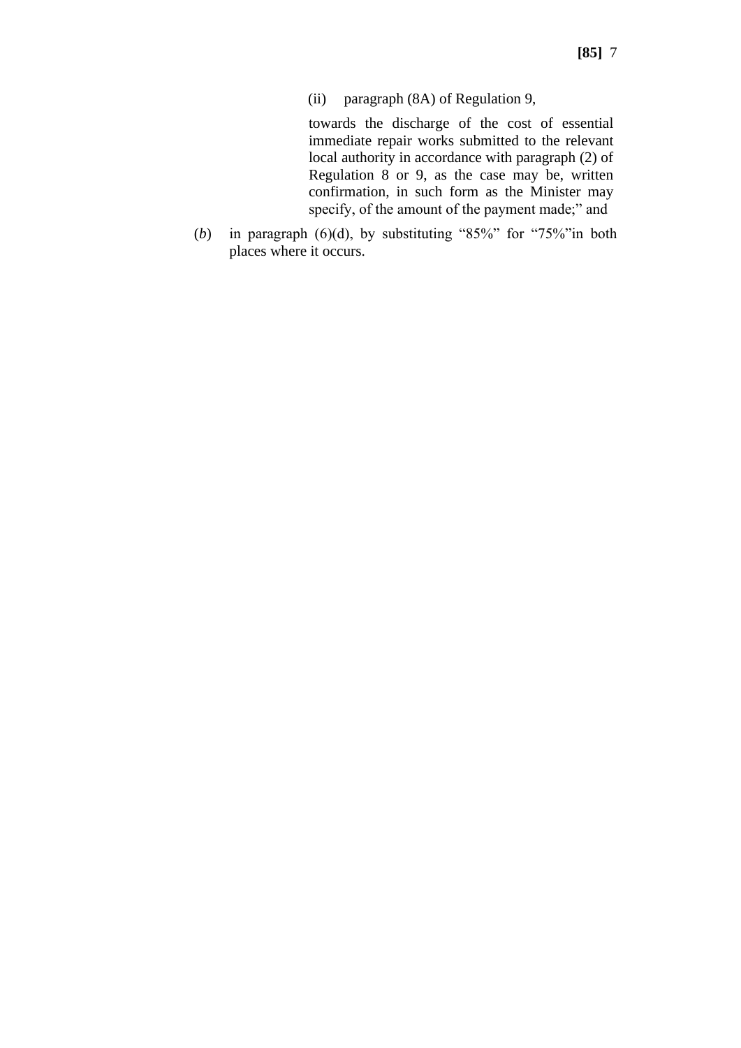(ii) paragraph (8A) of Regulation 9,

towards the discharge of the cost of essential immediate repair works submitted to the relevant local authority in accordance with paragraph (2) of Regulation 8 or 9, as the case may be, written confirmation, in such form as the Minister may specify, of the amount of the payment made;" and

(*b*) in paragraph (6)(d), by substituting "85%" for "75%"in both places where it occurs.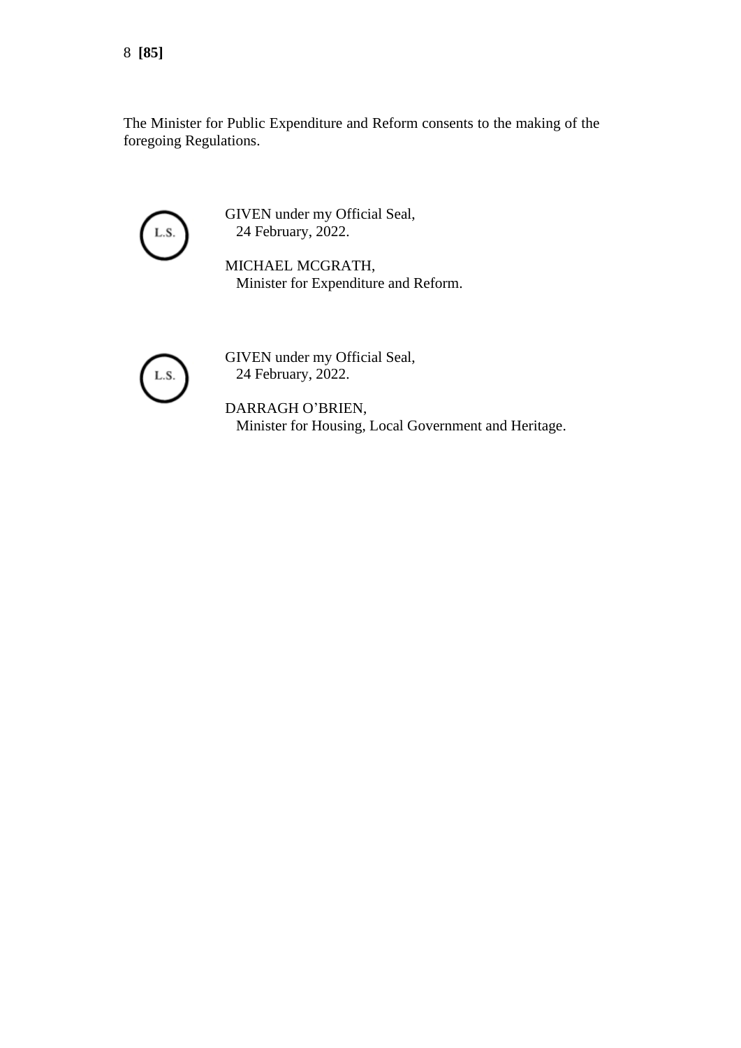The Minister for Public Expenditure and Reform consents to the making of the foregoing Regulations.



GIVEN under my Official Seal, 24 February, 2022.

MICHAEL MCGRATH, Minister for Expenditure and Reform.



GIVEN under my Official Seal, 24 February, 2022.

DARRAGH O'BRIEN, Minister for Housing, Local Government and Heritage.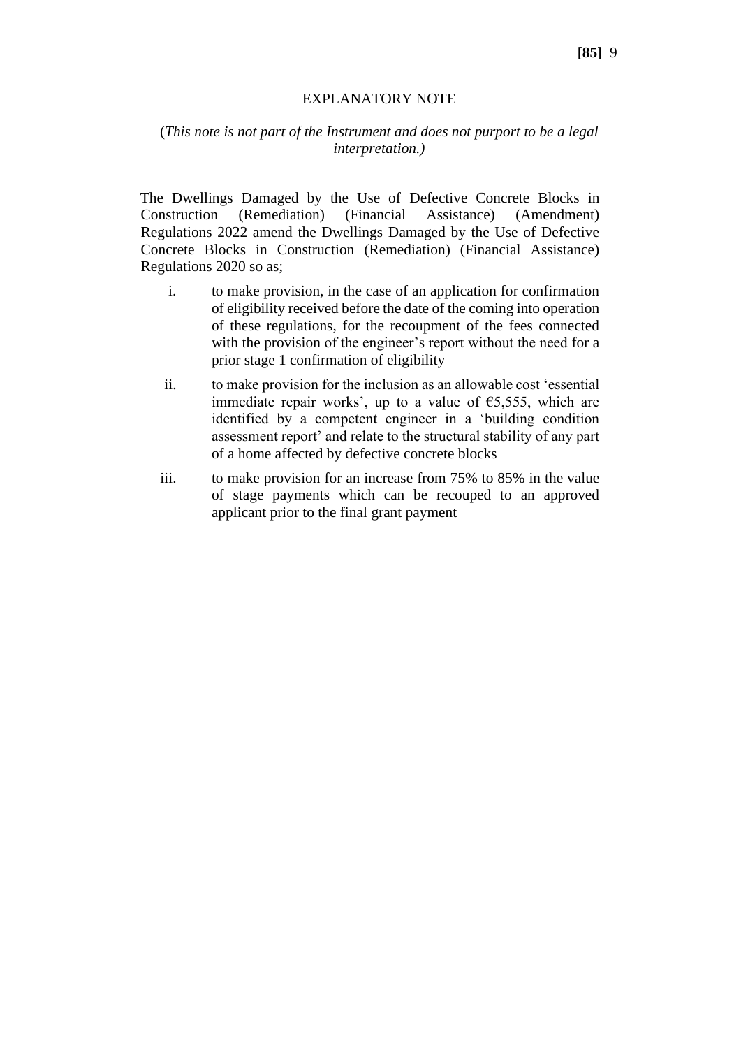#### EXPLANATORY NOTE

### (*This note is not part of the Instrument and does not purport to be a legal interpretation.)*

The Dwellings Damaged by the Use of Defective Concrete Blocks in Construction (Remediation) (Financial Assistance) (Amendment) Regulations 2022 amend the Dwellings Damaged by the Use of Defective Concrete Blocks in Construction (Remediation) (Financial Assistance) Regulations 2020 so as;

- i. to make provision, in the case of an application for confirmation of eligibility received before the date of the coming into operation of these regulations, for the recoupment of the fees connected with the provision of the engineer's report without the need for a prior stage 1 confirmation of eligibility
- ii. to make provision for the inclusion as an allowable cost 'essential immediate repair works', up to a value of  $\epsilon$ 5,555, which are identified by a competent engineer in a 'building condition assessment report' and relate to the structural stability of any part of a home affected by defective concrete blocks
- iii. to make provision for an increase from 75% to 85% in the value of stage payments which can be recouped to an approved applicant prior to the final grant payment